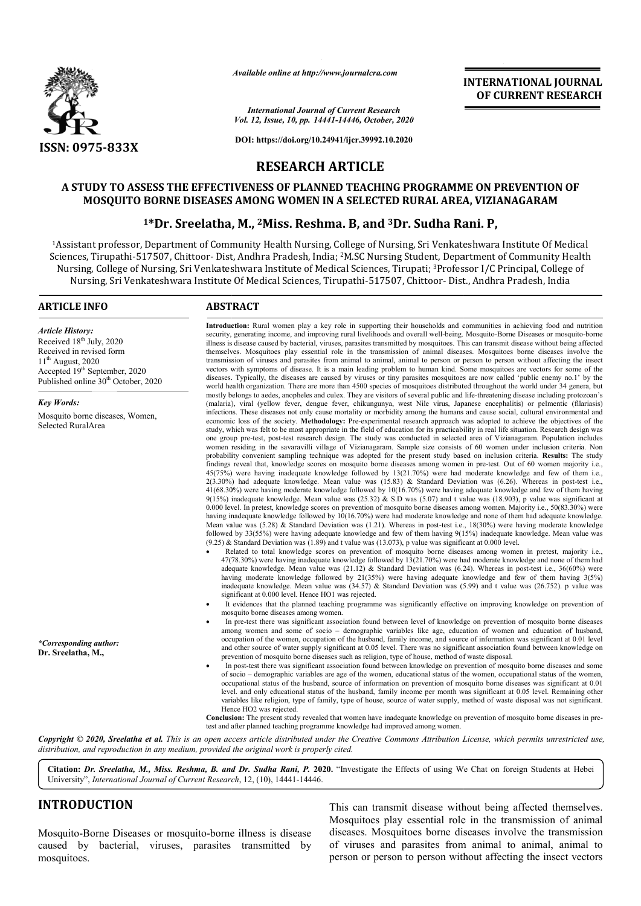

*Available online at http://www.journalcra.com*

#### *International Journal of Current Research Vol. 12, Issue, 10, pp. 14441-14446, October, 2020*

**DOI: https://doi.org/10.24941/ijcr.39992.10.2020**

# **INTERNATIONAL JOURNAL OF CURRENT RESEARCH**

**RESEARCH ARTICLE**

# **A STUDY TO ASSESS THE EFFECTIVENESS OF PLANNED TEACHING PROGRAMME ON PREVENTION OF MOSQUITO BORNE DISEASES AMONG WOMEN IN A SELECTED RURAL AREA, VIZIANAGARAM** A STUDY TO ASSESS THE EFFECTIVENESS OF PLANNED TEACHING P<br>MOSQUITO BORNE DISEASES AMONG WOMEN IN A SELECTED RI<br><sup>1\*</sup>Dr. Sreelatha, M., <sup>2</sup>Miss. Reshma. B, and <sup>3</sup>Dr.

#### **1\*Dr. Sreelatha, M., \*Dr. 2Miss. Reshma. B, and 3Dr. Sudha Rani. P,**

<sup>1</sup>Assistant professor, Department of Community Health Nursing, College of Nursing, Sri Venkateshwara Institute Of Medical Sciences, Tirupathi-517507, Chittoor- Dist, Andhra Pradesh, India; <sup>2</sup>M.SC Nursing Student, Department of Community Health Nursing, College of Nursing, Sri Venkateshwara Institute of Medical Sciences, Tirupati; <sup>3</sup>Professor I/C Principal, College of rsing, College of Nursing, Sri Venkateshwara Institute of Medical Sciences, Tirupati; <sup>3</sup>Professor I/C Principal, Colleg<br>Nursing, Sri Venkateshwara Institute Of Medical Sciences, Tirupathi-517507, Chittoor- Dist., Andhra P

#### **ARTICLE INFO ABSTRACT**

*Article History:* Received 18<sup>th</sup> July, 2020 Received in revised form  $11<sup>th</sup>$  August, 2020 Accepted 19<sup>th</sup> September, 2020 Published online 30<sup>th</sup> October, 2020

*Key Words:* Mosquito borne diseases, Women, Selected RuralArea

*\*Corresponding author:*  **Dr. Sreelatha, M.,**

**Introduction:**  Rural women play a key role in supporting their households and communities in achieving food and nutrition Introduction: Rural women play a key role in supporting their households and communities in achieving food and nutrition<br>security, generating income, and improving rural livelihoods and overall well-being. Mosquito-Borne D illness is disease caused by bacterial, viruses, parasites transmitted by mosquitoes. This can transmit disease without being affected themselves. Mosquitoes play essential role in the transmission of animal diseases. Mosquitoes borne diseases involve the transmission of viruses and parasites from animal to animal, animal to person or person to person without affecting the insect vectors with symptoms of disease. It is a main leading problem to human kind. Some mosquitoes are vectors for some of the diseases. Typically, the dise diseases are caused by viruses or tiny parasites mosquitoes are now called 'public enemy no.1' by the world health organization. There are more than 4500 species of mosquitoes distributed throughout the world under 34 genera, but mostly belongs to aedes, anopheles and culex. They are visitors of several public and life-threatening disease including protozoan's (malaria), viral (yellow fever, dengue fever, chikungunya, west Nile virus, Japanese encephalitis) or pelmentic (filariasis) infections. These diseases not only cause mortality or morbidity among the humans and cause social, cultural environmental and economic loss of the society. **Methodology:** Pre-experimental research approach was adopted to achieve the objectives of the study, which was felt to be most a one group pre women residing in the savaravilli village of Vizianagaram. Sample size consists of 60 women under inclusion criteria. Non probability convenient sampling technique was adopted for the present study based on inclusion criteria. Results: The study findings reveal that, knowledge scores on mosquito borne diseases among women in pre-test. Out of 60 women majority i.e., 45(75%) were having inadequate knowledge followed by 13(21.70%) were had moderate knowledge and few of them i.e., 45(75%) were having inadequate knowledge followed by 13(21.70%) were had moderate knowledge and few of them i.e., 2(3.30%) had adequate knowledge. Mean value was (15.83) & Standard Deviation was (6.26). Whereas in post-tes 41(68.30%) were having moderate knowledge followed by 10(16.70%) were having adequate knowledge and few of them having 41(68.30%) were having moderate knowledge followed by 10(16.70%) were having adequate knowledge and few of them having<br>9(15%) inadequate knowledge. Mean value was (25.32) & S.D was (5.07) and t value was (18.903), p value 0.000 level. In pretest, knowledge scores on prevention of mosquito borne diseases among women. Majority i.e., 50(83.30%) were having inadequate knowledge followed by 10(16.70%) were had moderate knowledge and none of them had adequate knowledge. Mean value was  $(5.28)$  & Standard Deviation was  $(1.21)$ . Whereas in post-test i.e.,  $18(30%)$  were having moderate knowledge Mean value was (5.28) & Standard Deviation was (1.21). Whereas in post-test i.e., 18(30%) were having moderate knowledge<br>followed by 33(55%) were having adequate knowledge and few of them having 9(15%) inadequate knowledge (9.25) & Standard Deviation was (1.89) and t value was (13.073), p value was significant at 0.000 level. appropriate in the field of education for its practicability in real life situation. Research design was pre-test, post-test research design. The study was conducted in selected area of Vizianagaram. Population includes illness is disease caused by bacterial, viruses, parasites transmitted by mosquitoes. This can transmit disease without being affected themselves. Mosquitoes play essential role in the transmission of animal diseases. Mosq (malaria), viral (yellow fever, dengue fever, chikungunya, west Nile virus, Japanese encephalitis) or pelmentic (filariasis) infections. These diseases not only cause mortality or morbidity among the humans and cause socia Animal and the state of the state of the state of the state of the state of the state of the state of the state of the state of the state of the state of the state of the state of the state of the state of the state of th

- Related to total knowledge scores on prevention of mosquito borne diseases among women in pretest, majority i.e. 47(78.30%) were ha having inadequate knowledge followed by 13(21.70%) were had moderate knowledge and none of them had (9.25) & Standard Deviation was (1.89) and t value was (13.073), p value was significant at 0.000 level.<br>• Related to total knowledge scores on prevention of mosquito borne diseases among women in pretest, majority i.e.,<br> having moderate knowledge followed by 21(35%) were having adequate knowledge and few of them having 3(5%) inadequate knowledge. Mean value was (34.57) & Standard Deviation was (5.99) and t value was (26.752). p value was significant at 0.000 level. Hence HO1 was rejected.
- It evidences that the pl planned teaching programme was significantly effective on improving knowledge on prevention of mosquito borne diseases among women.
- In pre-test there was significant association found between level of knowledge on prevention of mosquito borne diseases among women and some of socio – demographic variables like age, education of women and education of husband, occupation of the women, occupation of the husband, family income, and source of information was significant at 0.01 level and other source of water supply significant at 0.05 level. There was no significant association found between knowledge on prevention of mosquito borne diseases such as religion, type of house, method of waste disposal. having moderate knowledge followed by 21(35%) were having adequate knowledge and few of them having 3(5%)<br>indequate knowledge. Mean value was (34.57) & Standard Deviation was (5.99) and t value was (26.752). p value was<br>si
- In post-test there was significant association found between knowledge on prevention of mosquito borne diseases and some of socio – demographic variables are age of the women, educational status of the women, occupational status of the women, occupational status of the husband, source of information on prevention of m mosquito borne diseases was significant at 0.01 level. and only educational status of the husband, family income per month was significant at 0.05 level. Remaining other variables like religion, type of family, type of house, source of water supply, method of waste disposal was not significant. Hence HO2 was rejected.

**Conclusion:** The present study revealed that women have inadequate knowledge on prevention of mosquito borne diseases in pretest and after planned teaching programme knowledge had improved among women.

Copyright © 2020, Sreelatha et al. This is an open access article distributed under the Creative Commons Attribution License, which permits unrestricted use, *distribution, and reproduction in any medium, provided the original work is properly cited.*

Citation: Dr. Sreelatha, M., Miss. Reshma, B. and Dr. Sudha Rani, P. 2020. "Investigate the Effects of using We Chat on foreign Students at Hebei University", *International Journal of Current Research* , 12, (10), 14441-14446.

# **INTRODUCTION**

Mosquito-Borne Diseases or mosquito-borne illness is disease caused by bacterial, viruses, parasites transmitted by mosquitoes.

This can transmit disease without being affected themselves.<br>Mosquitoes play essential role in the transmission of animal<br>diseases. Mosquitoes borne diseases involve the transmission Mosquitoes play essential role in the transmission of animal diseases. Mosquitoes borne diseases involve the transmission of viruses and parasites from animal to animal, animal to person or person to person without affecting the insect vectors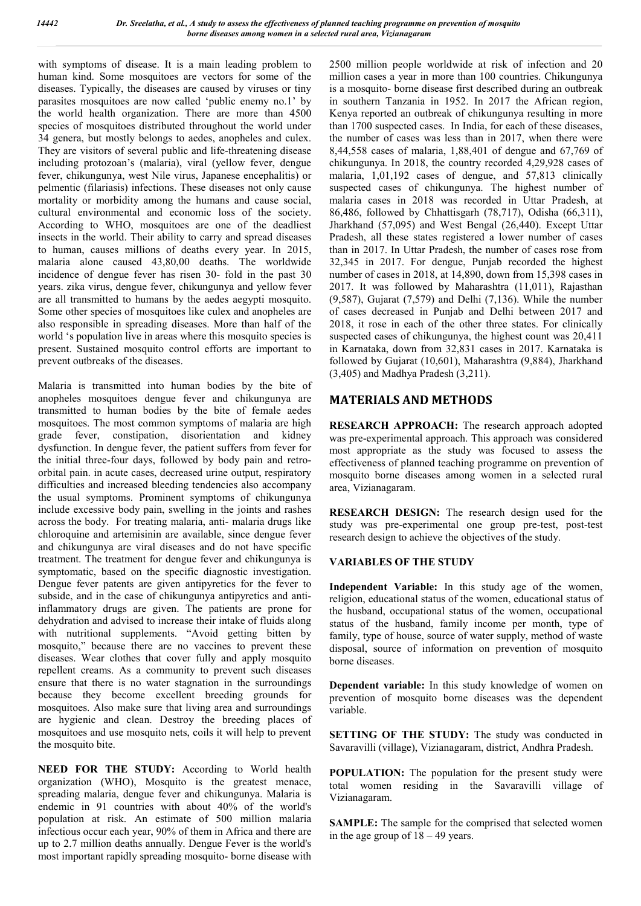with symptoms of disease. It is a main leading problem to human kind. Some mosquitoes are vectors for some of the diseases. Typically, the diseases are caused by viruses or tiny parasites mosquitoes are now called 'public enemy no.1' by the world health organization. There are more than 4500 species of mosquitoes distributed throughout the world under 34 genera, but mostly belongs to aedes, anopheles and culex. They are visitors of several public and life-threatening disease including protozoan's (malaria), viral (yellow fever, dengue fever, chikungunya, west Nile virus, Japanese encephalitis) or pelmentic (filariasis) infections. These diseases not only cause mortality or morbidity among the humans and cause social, cultural environmental and economic loss of the society. According to WHO, mosquitoes are one of the deadliest insects in the world. Their ability to carry and spread diseases to human, causes millions of deaths every year. In 2015, malaria alone caused 43,80,00 deaths. The worldwide incidence of dengue fever has risen 30- fold in the past 30 years. zika virus, dengue fever, chikungunya and yellow fever are all transmitted to humans by the aedes aegypti mosquito. Some other species of mosquitoes like culex and anopheles are also responsible in spreading diseases. More than half of the world 's population live in areas where this mosquito species is present. Sustained mosquito control efforts are important to prevent outbreaks of the diseases.

Malaria is transmitted into human bodies by the bite of anopheles mosquitoes dengue fever and chikungunya are transmitted to human bodies by the bite of female aedes mosquitoes. The most common symptoms of malaria are high grade fever, constipation, disorientation and kidney dysfunction. In dengue fever, the patient suffers from fever for the initial three-four days, followed by body pain and retroorbital pain. in acute cases, decreased urine output, respiratory difficulties and increased bleeding tendencies also accompany the usual symptoms. Prominent symptoms of chikungunya include excessive body pain, swelling in the joints and rashes across the body. For treating malaria, anti- malaria drugs like chloroquine and artemisinin are available, since dengue fever and chikungunya are viral diseases and do not have specific treatment. The treatment for dengue fever and chikungunya is symptomatic, based on the specific diagnostic investigation. Dengue fever patents are given antipyretics for the fever to subside, and in the case of chikungunya antipyretics and antiinflammatory drugs are given. The patients are prone for dehydration and advised to increase their intake of fluids along with nutritional supplements. "Avoid getting bitten by mosquito," because there are no vaccines to prevent these diseases. Wear clothes that cover fully and apply mosquito repellent creams. As a community to prevent such diseases ensure that there is no water stagnation in the surroundings because they become excellent breeding grounds for mosquitoes. Also make sure that living area and surroundings are hygienic and clean. Destroy the breeding places of mosquitoes and use mosquito nets, coils it will help to prevent the mosquito bite.

**NEED FOR THE STUDY:** According to World health organization (WHO), Mosquito is the greatest menace, spreading malaria, dengue fever and chikungunya. Malaria is endemic in 91 countries with about 40% of the world's population at risk. An estimate of 500 million malaria infectious occur each year, 90% of them in Africa and there are up to 2.7 million deaths annually. Dengue Fever is the world's most important rapidly spreading mosquito- borne disease with

2500 million people worldwide at risk of infection and 20 million cases a year in more than 100 countries. Chikungunya is a mosquito- borne disease first described during an outbreak in southern Tanzania in 1952. In 2017 the African region, Kenya reported an outbreak of chikungunya resulting in more than 1700 suspected cases. In India, for each of these diseases, the number of cases was less than in 2017, when there were 8,44,558 cases of malaria, 1,88,401 of dengue and 67,769 of chikungunya. In 2018, the country recorded 4,29,928 cases of malaria, 1,01,192 cases of dengue, and 57,813 clinically suspected cases of chikungunya. The highest number of malaria cases in 2018 was recorded in Uttar Pradesh, at 86,486, followed by Chhattisgarh (78,717), Odisha (66,311), Jharkhand (57,095) and West Bengal (26,440). Except Uttar Pradesh, all these states registered a lower number of cases than in 2017. In Uttar Pradesh, the number of cases rose from 32,345 in 2017. For dengue, Punjab recorded the highest number of cases in 2018, at 14,890, down from 15,398 cases in 2017. It was followed by Maharashtra (11,011), Rajasthan (9,587), Gujarat (7,579) and Delhi (7,136). While the number of cases decreased in Punjab and Delhi between 2017 and 2018, it rose in each of the other three states. For clinically suspected cases of chikungunya, the highest count was 20,411 in Karnataka, down from 32,831 cases in 2017. Karnataka is followed by Gujarat (10,601), Maharashtra (9,884), Jharkhand (3,405) and Madhya Pradesh (3,211).

# **MATERIALS AND METHODS**

**RESEARCH APPROACH:** The research approach adopted was pre-experimental approach. This approach was considered most appropriate as the study was focused to assess the effectiveness of planned teaching programme on prevention of mosquito borne diseases among women in a selected rural area, Vizianagaram.

**RESEARCH DESIGN:** The research design used for the study was pre-experimental one group pre-test, post-test research design to achieve the objectives of the study.

## **VARIABLES OF THE STUDY**

**Independent Variable:** In this study age of the women, religion, educational status of the women, educational status of the husband, occupational status of the women, occupational status of the husband, family income per month, type of family, type of house, source of water supply, method of waste disposal, source of information on prevention of mosquito borne diseases.

**Dependent variable:** In this study knowledge of women on prevention of mosquito borne diseases was the dependent variable.

**SETTING OF THE STUDY:** The study was conducted in Savaravilli (village), Vizianagaram, district, Andhra Pradesh.

**POPULATION:** The population for the present study were total women residing in the Savaravilli village of Vizianagaram.

**SAMPLE:** The sample for the comprised that selected women in the age group of 18 – 49 years.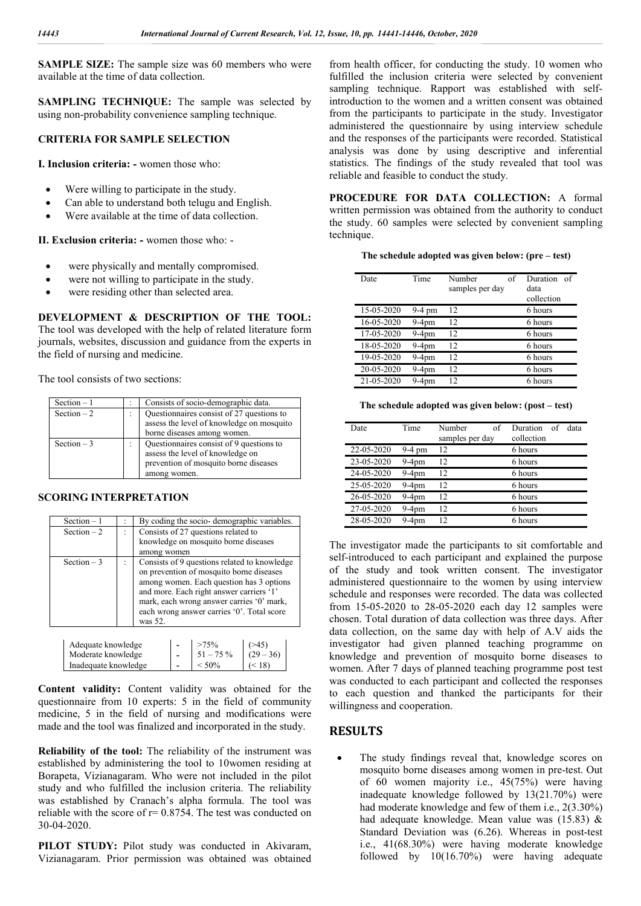**SAMPLE SIZE:** The sample size was 60 members who were available at the time of data collection.

**SAMPLING TECHNIQUE:** The sample was selected by using non-probability convenience sampling technique.

#### **CRITERIA FOR SAMPLE SELECTION**

**I. Inclusion criteria: -** women those who:

- Were willing to participate in the study.
- Can able to understand both telugu and English.
- Were available at the time of data collection.

**II. Exclusion criteria: -** women those who: -

- were physically and mentally compromised.
- were not willing to participate in the study.
- were residing other than selected area.

**DEVELOPMENT & DESCRIPTION OF THE TOOL:**  The tool was developed with the help of related literature form journals, websites, discussion and guidance from the experts in the field of nursing and medicine.

The tool consists of two sections:

| Section $-1$ | Consists of socio-demographic data.                                                                                                   |
|--------------|---------------------------------------------------------------------------------------------------------------------------------------|
| Section $-2$ | Questionnaires consist of 27 questions to<br>assess the level of knowledge on mosquito<br>borne diseases among women.                 |
| Section $-3$ | Questionnaires consist of 9 questions to<br>assess the level of knowledge on<br>prevention of mosquito borne diseases<br>among women. |

#### **SCORING INTERPRETATION**

| Section $-1$                  |  | By coding the socio-demographic variables.   |  |
|-------------------------------|--|----------------------------------------------|--|
| Section $-2$                  |  | Consists of 27 questions related to          |  |
|                               |  | knowledge on mosquito borne diseases         |  |
|                               |  | among women                                  |  |
| Section $-3$                  |  | Consists of 9 questions related to knowledge |  |
|                               |  | on prevention of mosquito borne diseases     |  |
|                               |  | among women. Each question has 3 options     |  |
|                               |  | and more. Each right answer carriers '1'     |  |
|                               |  | mark, each wrong answer carries '0' mark,    |  |
|                               |  | each wrong answer carries '0'. Total score   |  |
|                               |  | was 52.                                      |  |
| $>75\%$<br>Adequate knowledge |  |                                              |  |

| Adequate knowledge   | $>75\%$     |             |
|----------------------|-------------|-------------|
| Moderate knowledge   | $51 - 75\%$ | $(29 - 36)$ |
| Inadequate knowledge | $< 50\%$    | $\leq$ 18)  |
|                      |             |             |

**Content validity:** Content validity was obtained for the questionnaire from 10 experts: 5 in the field of community medicine, 5 in the field of nursing and modifications were made and the tool was finalized and incorporated in the study.

**Reliability of the tool:** The reliability of the instrument was established by administering the tool to 10women residing at Borapeta, Vizianagaram. Who were not included in the pilot study and who fulfilled the inclusion criteria. The reliability was established by Cranach's alpha formula. The tool was reliable with the score of  $r = 0.8754$ . The test was conducted on 30-04-2020.

**PILOT STUDY:** Pilot study was conducted in Akivaram, Vizianagaram. Prior permission was obtained was obtained

from health officer, for conducting the study. 10 women who fulfilled the inclusion criteria were selected by convenient sampling technique. Rapport was established with selfintroduction to the women and a written consent was obtained from the participants to participate in the study. Investigator administered the questionnaire by using interview schedule and the responses of the participants were recorded. Statistical analysis was done by using descriptive and inferential statistics. The findings of the study revealed that tool was reliable and feasible to conduct the study.

**PROCEDURE FOR DATA COLLECTION:** A formal written permission was obtained from the authority to conduct the study. 60 samples were selected by convenient sampling technique.

#### **The schedule adopted was given below: (pre – test)**

| Date       | Time     | Number<br>of<br>samples per day | <b>Duration</b><br>of<br>data<br>collection |
|------------|----------|---------------------------------|---------------------------------------------|
| 15-05-2020 | $9-4$ pm | 12                              | 6 hours                                     |
| 16-05-2020 | $9-4$ pm | 12                              | 6 hours                                     |
| 17-05-2020 | $9-4pm$  | 12                              | 6 hours                                     |
| 18-05-2020 | $9-4pm$  | 12                              | 6 hours                                     |
| 19-05-2020 | $9-4$ pm | 12                              | 6 hours                                     |
| 20-05-2020 | 9-4pm    | 12                              | 6 hours                                     |
| 21-05-2020 | 9-4pm    | 12                              | 6 hours                                     |

| The schedule adopted was given below: (post - test) |  |  |  |
|-----------------------------------------------------|--|--|--|
|-----------------------------------------------------|--|--|--|

| Date       | Time     | Number<br>of<br>samples per day | Duration<br>data<br>of<br>collection |
|------------|----------|---------------------------------|--------------------------------------|
| 22-05-2020 | $9-4$ pm | 12                              | 6 hours                              |
| 23-05-2020 | 9-4pm    | 12                              | 6 hours                              |
| 24-05-2020 | 9-4pm    | 12                              | 6 hours                              |
| 25-05-2020 | 9-4pm    | 12                              | 6 hours                              |
| 26-05-2020 | $9-4$ pm | 12                              | 6 hours                              |
| 27-05-2020 | 9-4pm    | 12                              | 6 hours                              |
| 28-05-2020 | 9-4pm    | 12                              | 6 hours                              |

The investigator made the participants to sit comfortable and self-introduced to each participant and explained the purpose of the study and took written consent. The investigator administered questionnaire to the women by using interview schedule and responses were recorded. The data was collected from 15-05-2020 to 28-05-2020 each day 12 samples were chosen. Total duration of data collection was three days. After data collection, on the same day with help of A.V aids the investigator had given planned teaching programme on knowledge and prevention of mosquito borne diseases to women. After 7 days of planned teaching programme post test was conducted to each participant and collected the responses to each question and thanked the participants for their willingness and cooperation.

## **RESULTS**

 The study findings reveal that, knowledge scores on mosquito borne diseases among women in pre-test. Out of 60 women majority i.e., 45(75%) were having inadequate knowledge followed by 13(21.70%) were had moderate knowledge and few of them i.e., 2(3.30%) had adequate knowledge. Mean value was (15.83) & Standard Deviation was (6.26). Whereas in post-test i.e., 41(68.30%) were having moderate knowledge followed by 10(16.70%) were having adequate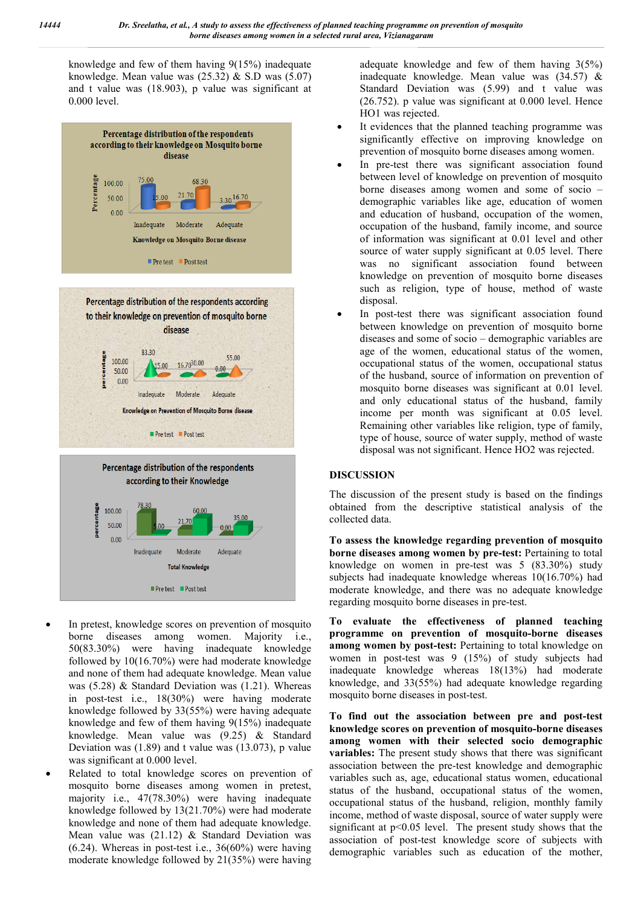knowledge and few of them having 9(15%) inadequate knowledge. Mean value was  $(25.32)$  & S.D was  $(5.07)$ and t value was (18.903), p value was significant at 0.000 level.





 In pretest, knowledge scores on prevention of mosquito borne diseases among women. Majority i.e., 50(83.30%) were having inadequate knowledge followed by 10(16.70%) were had moderate knowledge and none of them had adequate knowledge. Mean value was (5.28) & Standard Deviation was (1.21). Whereas in post-test i.e., 18(30%) were having moderate knowledge followed by 33(55%) were having adequate knowledge and few of them having 9(15%) inadequate knowledge. Mean value was (9.25) & Standard Deviation was (1.89) and t value was (13.073), p value was significant at 0.000 level.

**Total Knowledge** 

■ Pre test ■ Post test

 Related to total knowledge scores on prevention of mosquito borne diseases among women in pretest, majority i.e., 47(78.30%) were having inadequate knowledge followed by 13(21.70%) were had moderate knowledge and none of them had adequate knowledge. Mean value was  $(21.12)$  & Standard Deviation was  $(6.24)$ . Whereas in post-test i.e.,  $36(60\%)$  were having moderate knowledge followed by 21(35%) were having

adequate knowledge and few of them having 3(5%) inadequate knowledge. Mean value was (34.57) & Standard Deviation was (5.99) and t value was (26.752). p value was significant at 0.000 level. Hence HO1 was rejected.

- It evidences that the planned teaching programme was significantly effective on improving knowledge on prevention of mosquito borne diseases among women.
- In pre-test there was significant association found between level of knowledge on prevention of mosquito borne diseases among women and some of socio – demographic variables like age, education of women and education of husband, occupation of the women, occupation of the husband, family income, and source of information was significant at 0.01 level and other source of water supply significant at 0.05 level. There was no significant association found between knowledge on prevention of mosquito borne diseases such as religion, type of house, method of waste disposal.
- In post-test there was significant association found between knowledge on prevention of mosquito borne diseases and some of socio – demographic variables are age of the women, educational status of the women, occupational status of the women, occupational status of the husband, source of information on prevention of mosquito borne diseases was significant at 0.01 level. and only educational status of the husband, family income per month was significant at 0.05 level. Remaining other variables like religion, type of family, type of house, source of water supply, method of waste disposal was not significant. Hence HO2 was rejected.

## **DISCUSSION**

The discussion of the present study is based on the findings obtained from the descriptive statistical analysis of the collected data.

**To assess the knowledge regarding prevention of mosquito borne diseases among women by pre-test:** Pertaining to total knowledge on women in pre-test was 5 (83.30%) study subjects had inadequate knowledge whereas 10(16.70%) had moderate knowledge, and there was no adequate knowledge regarding mosquito borne diseases in pre-test.

**To evaluate the effectiveness of planned teaching programme on prevention of mosquito-borne diseases among women by post-test:** Pertaining to total knowledge on women in post-test was 9 (15%) of study subjects had inadequate knowledge whereas 18(13%) had moderate knowledge, and 33(55%) had adequate knowledge regarding mosquito borne diseases in post-test.

**To find out the association between pre and post-test knowledge scores on prevention of mosquito-borne diseases among women with their selected socio demographic variables:** The present study shows that there was significant association between the pre-test knowledge and demographic variables such as, age, educational status women, educational status of the husband, occupational status of the women, occupational status of the husband, religion, monthly family income, method of waste disposal, source of water supply were significant at p<0.05 level. The present study shows that the association of post-test knowledge score of subjects with demographic variables such as education of the mother,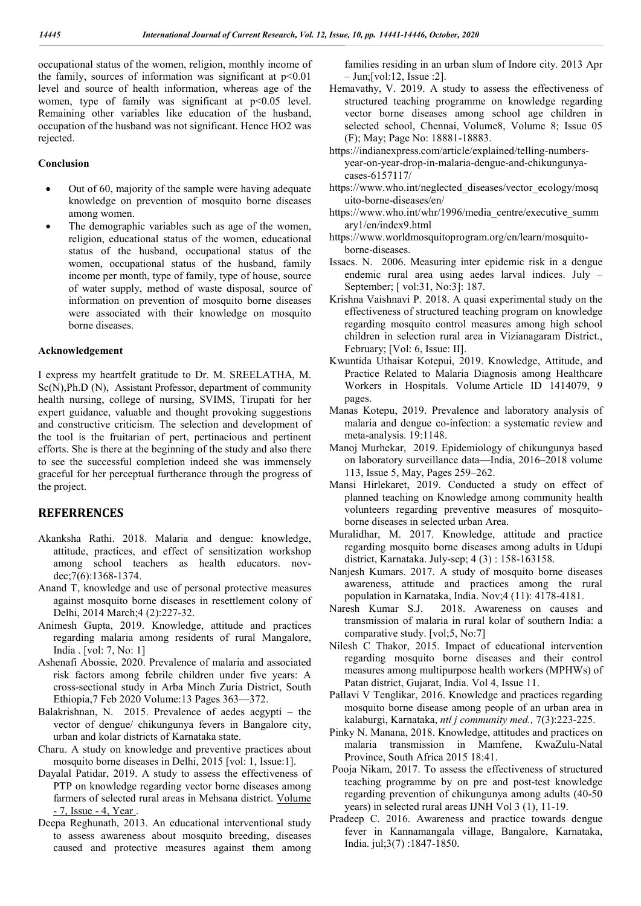occupational status of the women, religion, monthly income of the family, sources of information was significant at  $p<0.01$ level and source of health information, whereas age of the women, type of family was significant at  $p<0.05$  level. Remaining other variables like education of the husband, occupation of the husband was not significant. Hence HO2 was rejected.

#### **Conclusion**

- Out of 60, majority of the sample were having adequate knowledge on prevention of mosquito borne diseases among women.
- The demographic variables such as age of the women, religion, educational status of the women, educational status of the husband, occupational status of the women, occupational status of the husband, family income per month, type of family, type of house, source of water supply, method of waste disposal, source of information on prevention of mosquito borne diseases were associated with their knowledge on mosquito borne diseases.

#### **Acknowledgement**

I express my heartfelt gratitude to Dr. M. SREELATHA, M. Sc(N),Ph.D (N), Assistant Professor, department of community health nursing, college of nursing, SVIMS, Tirupati for her expert guidance, valuable and thought provoking suggestions and constructive criticism. The selection and development of the tool is the fruitarian of pert, pertinacious and pertinent efforts. She is there at the beginning of the study and also there to see the successful completion indeed she was immensely graceful for her perceptual furtherance through the progress of the project.

## **REFERRENCES**

- Akanksha Rathi. 2018. Malaria and dengue: knowledge, attitude, practices, and effect of sensitization workshop among school teachers as health educators. novdec;7(6):1368-1374.
- Anand T, knowledge and use of personal protective measures against mosquito borne diseases in resettlement colony of Delhi, 2014 March;4 (2):227-32.
- Animesh Gupta, 2019. Knowledge, attitude and practices regarding malaria among residents of rural Mangalore, India . [vol: 7, No: 1]
- Ashenafi Abossie, 2020. Prevalence of malaria and associated risk factors among febrile children under five years: A cross-sectional study in Arba Minch Zuria District, South Ethiopia,7 Feb 2020 Volume:13 Pages 363—372.
- Balakrishnan, N. 2015. Prevalence of aedes aegypti the vector of dengue/ chikungunya fevers in Bangalore city, urban and kolar districts of Karnataka state.
- Charu. A study on knowledge and preventive practices about mosquito borne diseases in Delhi, 2015 [vol: 1, Issue:1].
- Dayalal Patidar, 2019. A study to assess the effectiveness of PTP on knowledge regarding vector borne diseases among farmers of selected rural areas in Mehsana district. Volume - 7, Issue - 4, Year .
- Deepa Reghunath, 2013. An educational interventional study to assess awareness about mosquito breeding, diseases caused and protective measures against them among

families residing in an urban slum of Indore city. 2013 Apr – Jun;[vol:12, Issue :2].

- Hemavathy, V. 2019. A study to assess the effectiveness of structured teaching programme on knowledge regarding vector borne diseases among school age children in selected school, Chennai, Volume8, Volume 8; Issue 05 (F); May; Page No: 18881-18883.
- https://indianexpress.com/article/explained/telling-numbersyear-on-year-drop-in-malaria-dengue-and-chikungunyacases-6157117/
- https://www.who.int/neglected\_diseases/vector\_ecology/mosq uito-borne-diseases/en/
- https://www.who.int/whr/1996/media\_centre/executive\_summ ary1/en/index9.html
- https://www.worldmosquitoprogram.org/en/learn/mosquitoborne-diseases.
- Issacs. N. 2006. Measuring inter epidemic risk in a dengue endemic rural area using aedes larval indices. July – September; [ vol:31, No:3]: 187.
- Krishna Vaishnavi P. 2018. A quasi experimental study on the effectiveness of structured teaching program on knowledge regarding mosquito control measures among high school children in selection rural area in Vizianagaram District., February; [Vol: 6, Issue: II].
- Kwuntida Uthaisar Kotepui, 2019. Knowledge, Attitude, and Practice Related to Malaria Diagnosis among Healthcare Workers in Hospitals. Volume Article ID 1414079, 9 pages.
- Manas Kotepu, 2019. Prevalence and laboratory analysis of malaria and dengue co-infection: a systematic review and meta-analysis. 19:1148.
- Manoj Murhekar, 2019. Epidemiology of chikungunya based on laboratory surveillance data—India, 2016–2018 volume 113, Issue 5, May, Pages 259–262.
- Mansi Hirlekaret, 2019. Conducted a study on effect of planned teaching on Knowledge among community health volunteers regarding preventive measures of mosquitoborne diseases in selected urban Area.
- Muralidhar, M. 2017. Knowledge, attitude and practice regarding mosquito borne diseases among adults in Udupi district, Karnataka. July-sep; 4 (3) : 158-163158.
- Nanjesh Kumars. 2017. A study of mosquito borne diseases awareness, attitude and practices among the rural population in Karnataka, India. Nov;4 (11): 4178-4181.
- Naresh Kumar S.J. 2018. Awareness on causes and transmission of malaria in rural kolar of southern India: a comparative study. [vol;5, No:7]
- Nilesh C Thakor, 2015. Impact of educational intervention regarding mosquito borne diseases and their control measures among multipurpose health workers (MPHWs) of Patan district, Gujarat, India. Vol 4, Issue 11.
- Pallavi V Tenglikar, 2016. Knowledge and practices regarding mosquito borne disease among people of an urban area in kalaburgi, Karnataka, *ntl j community med.,* 7(3):223-225.
- Pinky N. Manana, 2018. Knowledge, attitudes and practices on malaria transmission in Mamfene, KwaZulu-Natal Province, South Africa 2015 18:41.
- Pooja Nikam, 2017. To assess the effectiveness of structured teaching programme by on pre and post-test knowledge regarding prevention of chikungunya among adults (40-50 years) in selected rural areas IJNH Vol 3 (1), 11-19.
- Pradeep C. 2016. Awareness and practice towards dengue fever in Kannamangala village, Bangalore, Karnataka, India. jul;3(7) :1847-1850.